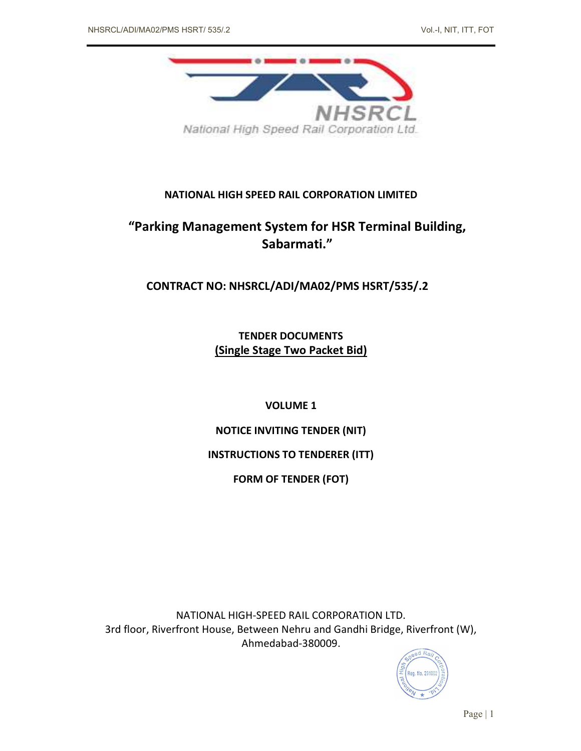

# NATIONAL HIGH SPEED RAIL CORPORATION LIMITED

# "Parking Management System for HSR Terminal Building, Sabarmati."

CONTRACT NO: NHSRCL/ADI/MA02/PMS HSRT/535/.2

TENDER DOCUMENTS (Single Stage Two Packet Bid)

VOLUME 1

NOTICE INVITING TENDER (NIT)

INSTRUCTIONS TO TENDERER (ITT)

FORM OF TENDER (FOT)

NATIONAL HIGH-SPEED RAIL CORPORATION LTD. 3rd floor, Riverfront House, Between Nehru and Gandhi Bridge, Riverfront (W), Ahmedabad-380009.

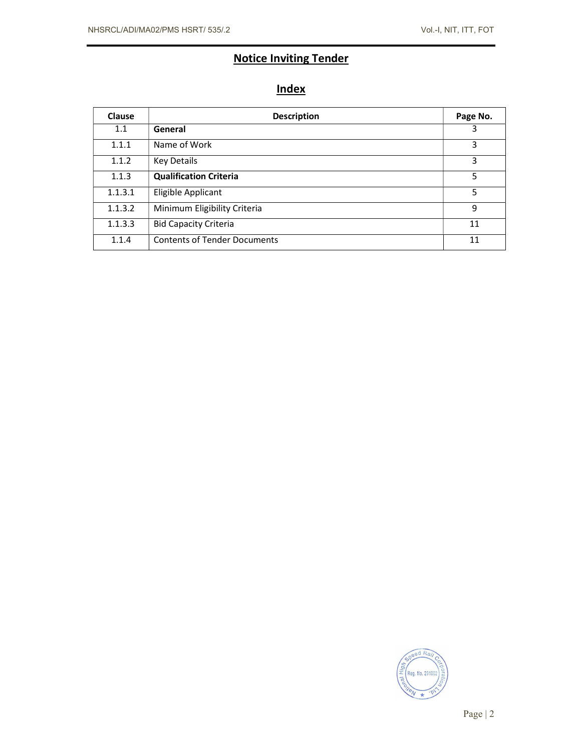# Notice Inviting Tender

# **Index**

| <b>Clause</b> | <b>Description</b>                  | Page No. |
|---------------|-------------------------------------|----------|
| 1.1           | General                             | 3        |
| 1.1.1         | Name of Work                        | 3        |
| 1.1.2         | Key Details                         | 3        |
| 1.1.3         | <b>Qualification Criteria</b>       | 5        |
| 1.1.3.1       | Eligible Applicant                  | 5        |
| 1.1.3.2       | Minimum Eligibility Criteria        | 9        |
| 1.1.3.3       | <b>Bid Capacity Criteria</b>        | 11       |
| 1.1.4         | <b>Contents of Tender Documents</b> | 11       |

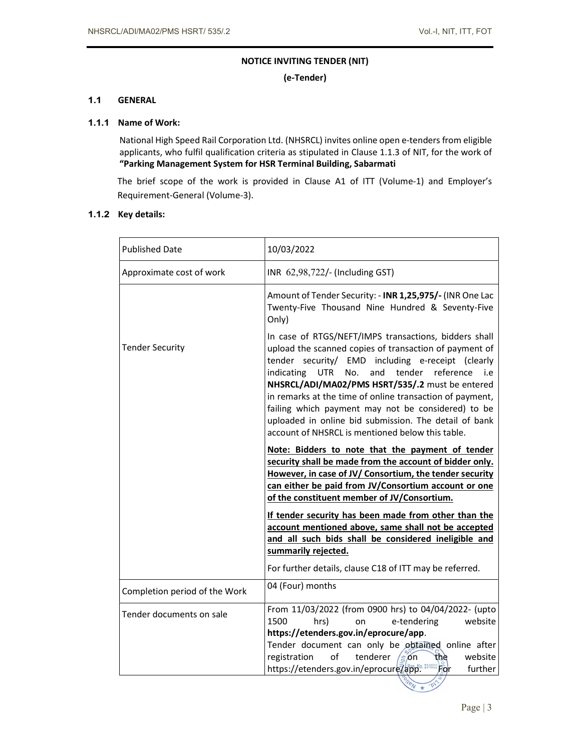# NOTICE INVITING TENDER (NIT)

(e-Tender)

# 1.1 GENERAL

## 1.1.1 Name of Work:

National High Speed Rail Corporation Ltd. (NHSRCL) invites online open e-tenders from eligible applicants, who fulfil qualification criteria as stipulated in Clause 1.1.3 of NIT, for the work of "Parking Management System for HSR Terminal Building, Sabarmati

The brief scope of the work is provided in Clause A1 of ITT (Volume-1) and Employer's Requirement-General (Volume-3).

# 1.1.2 Key details:

| <b>Published Date</b>         | 10/03/2022                                                                                                                                                                                                                                                                                                                                                                                                                                                                                                                     |  |  |  |
|-------------------------------|--------------------------------------------------------------------------------------------------------------------------------------------------------------------------------------------------------------------------------------------------------------------------------------------------------------------------------------------------------------------------------------------------------------------------------------------------------------------------------------------------------------------------------|--|--|--|
| Approximate cost of work      | INR 62,98,722/- (Including GST)                                                                                                                                                                                                                                                                                                                                                                                                                                                                                                |  |  |  |
|                               | Amount of Tender Security: - INR 1,25,975/- (INR One Lac<br>Twenty-Five Thousand Nine Hundred & Seventy-Five<br>Only)                                                                                                                                                                                                                                                                                                                                                                                                          |  |  |  |
| <b>Tender Security</b>        | In case of RTGS/NEFT/IMPS transactions, bidders shall<br>upload the scanned copies of transaction of payment of<br>tender security/ EMD including e-receipt (clearly<br>indicating<br><b>UTR</b><br>No.<br>and<br>tender<br>reference<br>i.e<br>NHSRCL/ADI/MA02/PMS HSRT/535/.2 must be entered<br>in remarks at the time of online transaction of payment,<br>failing which payment may not be considered) to be<br>uploaded in online bid submission. The detail of bank<br>account of NHSRCL is mentioned below this table. |  |  |  |
|                               | Note: Bidders to note that the payment of tender<br>security shall be made from the account of bidder only.<br>However, in case of JV/ Consortium, the tender security<br>can either be paid from JV/Consortium account or one<br>of the constituent member of JV/Consortium.                                                                                                                                                                                                                                                  |  |  |  |
|                               | If tender security has been made from other than the<br>account mentioned above, same shall not be accepted<br>and all such bids shall be considered ineligible and<br>summarily rejected.                                                                                                                                                                                                                                                                                                                                     |  |  |  |
|                               | For further details, clause C18 of ITT may be referred.<br>04 (Four) months                                                                                                                                                                                                                                                                                                                                                                                                                                                    |  |  |  |
| Completion period of the Work |                                                                                                                                                                                                                                                                                                                                                                                                                                                                                                                                |  |  |  |
| Tender documents on sale      | From 11/03/2022 (from 0900 hrs) to 04/04/2022- (upto<br>1500<br>website<br>hrs)<br>e-tendering<br>on<br>https://etenders.gov.in/eprocure/app.                                                                                                                                                                                                                                                                                                                                                                                  |  |  |  |
|                               | Tender document can only be obtained online after<br>of<br>tenderer<br>website<br>registration<br>$\sin$<br>the<br>https://etenders.gov.in/eprocure/app <sup>lo.291002</sup> For<br>further                                                                                                                                                                                                                                                                                                                                    |  |  |  |

Page | 3

 $\frac{p}{\sqrt{p}}$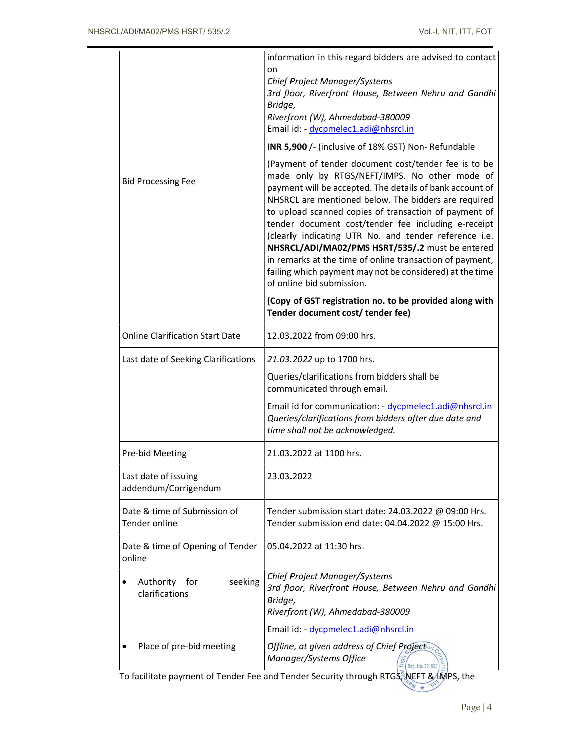|                                               | information in this regard bidders are advised to contact<br>on                                                                                                                                                                                                                                                                                                                                                                                                                                                                                                                                            |  |  |
|-----------------------------------------------|------------------------------------------------------------------------------------------------------------------------------------------------------------------------------------------------------------------------------------------------------------------------------------------------------------------------------------------------------------------------------------------------------------------------------------------------------------------------------------------------------------------------------------------------------------------------------------------------------------|--|--|
|                                               | Chief Project Manager/Systems<br>3rd floor, Riverfront House, Between Nehru and Gandhi<br>Bridge,<br>Riverfront (W), Ahmedabad-380009<br>Email id: - dycpmelec1.adi@nhsrcl.in                                                                                                                                                                                                                                                                                                                                                                                                                              |  |  |
|                                               | INR 5,900 /- (inclusive of 18% GST) Non-Refundable                                                                                                                                                                                                                                                                                                                                                                                                                                                                                                                                                         |  |  |
| <b>Bid Processing Fee</b>                     | (Payment of tender document cost/tender fee is to be<br>made only by RTGS/NEFT/IMPS. No other mode of<br>payment will be accepted. The details of bank account of<br>NHSRCL are mentioned below. The bidders are required<br>to upload scanned copies of transaction of payment of<br>tender document cost/tender fee including e-receipt<br>(clearly indicating UTR No. and tender reference i.e.<br>NHSRCL/ADI/MA02/PMS HSRT/535/.2 must be entered<br>in remarks at the time of online transaction of payment,<br>failing which payment may not be considered) at the time<br>of online bid submission. |  |  |
|                                               | (Copy of GST registration no. to be provided along with<br>Tender document cost/ tender fee)                                                                                                                                                                                                                                                                                                                                                                                                                                                                                                               |  |  |
| <b>Online Clarification Start Date</b>        | 12.03.2022 from 09:00 hrs.                                                                                                                                                                                                                                                                                                                                                                                                                                                                                                                                                                                 |  |  |
| Last date of Seeking Clarifications           | 21.03.2022 up to 1700 hrs.                                                                                                                                                                                                                                                                                                                                                                                                                                                                                                                                                                                 |  |  |
|                                               | Queries/clarifications from bidders shall be<br>communicated through email.                                                                                                                                                                                                                                                                                                                                                                                                                                                                                                                                |  |  |
|                                               | Email id for communication: - dycpmelec1.adi@nhsrcl.in<br>Queries/clarifications from bidders after due date and<br>time shall not be acknowledged.                                                                                                                                                                                                                                                                                                                                                                                                                                                        |  |  |
| Pre-bid Meeting                               | 21.03.2022 at 1100 hrs.                                                                                                                                                                                                                                                                                                                                                                                                                                                                                                                                                                                    |  |  |
| Last date of issuing<br>addendum/Corrigendum  | 23.03.2022                                                                                                                                                                                                                                                                                                                                                                                                                                                                                                                                                                                                 |  |  |
| Date & time of Submission of<br>Tender online | Tender submission start date: 24.03.2022 @ 09:00 Hrs.<br>Tender submission end date: 04.04.2022 @ 15:00 Hrs.                                                                                                                                                                                                                                                                                                                                                                                                                                                                                               |  |  |
| Date & time of Opening of Tender<br>online    | 05.04.2022 at 11:30 hrs.                                                                                                                                                                                                                                                                                                                                                                                                                                                                                                                                                                                   |  |  |
| seeking<br>Authority for<br>clarifications    | Chief Project Manager/Systems<br>3rd floor, Riverfront House, Between Nehru and Gandhi<br>Bridge,<br>Riverfront (W), Ahmedabad-380009                                                                                                                                                                                                                                                                                                                                                                                                                                                                      |  |  |
|                                               | Email id: - dycpmelec1.adi@nhsrcl.in                                                                                                                                                                                                                                                                                                                                                                                                                                                                                                                                                                       |  |  |
| Place of pre-bid meeting                      | Offline, at given address of Chief Project<br>Manager/Systems Office                                                                                                                                                                                                                                                                                                                                                                                                                                                                                                                                       |  |  |

To facilitate payment of Tender Fee and Tender Security through RTGS, NEFT & IMPS, the  $\frac{1}{\sqrt{N}}$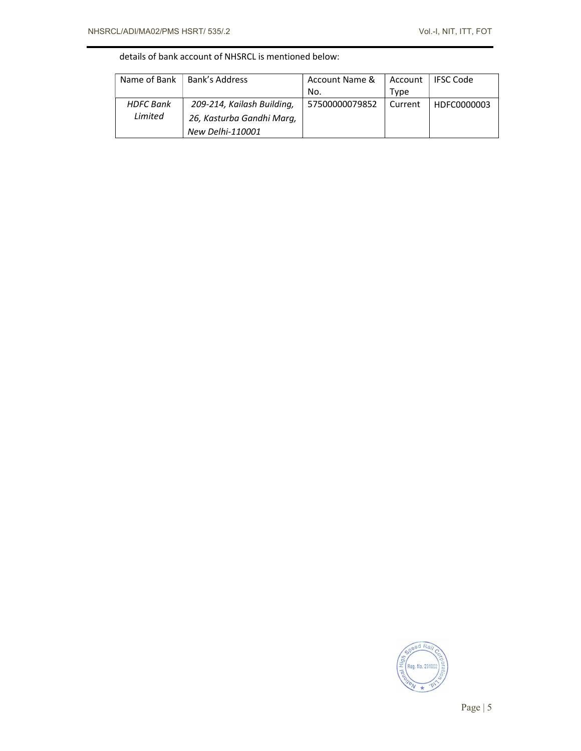# details of bank account of NHSRCL is mentioned below:

| Name of Bank     | Bank's Address             | Account Name & | Account | <b>IFSC Code</b> |
|------------------|----------------------------|----------------|---------|------------------|
|                  |                            | No.            | Type    |                  |
| <b>HDFC Bank</b> | 209-214, Kailash Building, | 57500000079852 | Current | HDFC0000003      |
| Limited          | 26, Kasturba Gandhi Mara,  |                |         |                  |
|                  | New Delhi-110001           |                |         |                  |

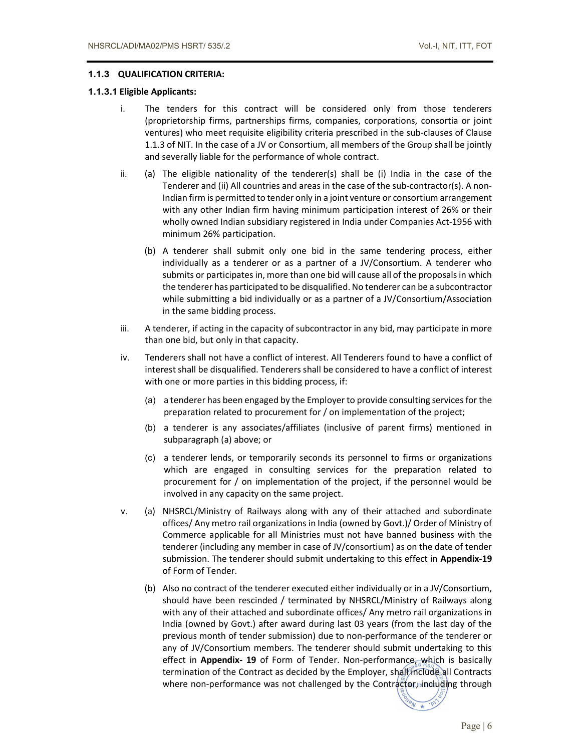# 1.1.3 QUALIFICATION CRITERIA:

# 1.1.3.1 Eligible Applicants:

- i. The tenders for this contract will be considered only from those tenderers (proprietorship firms, partnerships firms, companies, corporations, consortia or joint ventures) who meet requisite eligibility criteria prescribed in the sub-clauses of Clause 1.1.3 of NIT. In the case of a JV or Consortium, all members of the Group shall be jointly and severally liable for the performance of whole contract.
- ii. (a) The eligible nationality of the tenderer(s) shall be (i) India in the case of the Tenderer and (ii) All countries and areas in the case of the sub-contractor(s). A non-Indian firm is permitted to tender only in a joint venture or consortium arrangement with any other Indian firm having minimum participation interest of 26% or their wholly owned Indian subsidiary registered in India under Companies Act-1956 with minimum 26% participation.
	- (b) A tenderer shall submit only one bid in the same tendering process, either individually as a tenderer or as a partner of a JV/Consortium. A tenderer who submits or participates in, more than one bid will cause all of the proposals in which the tenderer has participated to be disqualified. No tenderer can be a subcontractor while submitting a bid individually or as a partner of a JV/Consortium/Association in the same bidding process.
- iii. A tenderer, if acting in the capacity of subcontractor in any bid, may participate in more than one bid, but only in that capacity.
- iv. Tenderers shall not have a conflict of interest. All Tenderers found to have a conflict of interest shall be disqualified. Tenderers shall be considered to have a conflict of interest with one or more parties in this bidding process, if:
	- (a) a tenderer has been engaged by the Employer to provide consulting services for the preparation related to procurement for / on implementation of the project;
	- (b) a tenderer is any associates/affiliates (inclusive of parent firms) mentioned in subparagraph (a) above; or
	- (c) a tenderer lends, or temporarily seconds its personnel to firms or organizations which are engaged in consulting services for the preparation related to procurement for / on implementation of the project, if the personnel would be involved in any capacity on the same project.
- v. (a) NHSRCL/Ministry of Railways along with any of their attached and subordinate offices/ Any metro rail organizations in India (owned by Govt.)/ Order of Ministry of Commerce applicable for all Ministries must not have banned business with the tenderer (including any member in case of JV/consortium) as on the date of tender submission. The tenderer should submit undertaking to this effect in Appendix-19 of Form of Tender.
	- (b) Also no contract of the tenderer executed either individually or in a JV/Consortium, should have been rescinded / terminated by NHSRCL/Ministry of Railways along with any of their attached and subordinate offices/ Any metro rail organizations in India (owned by Govt.) after award during last 03 years (from the last day of the previous month of tender submission) due to non-performance of the tenderer or any of JV/Consortium members. The tenderer should submit undertaking to this effect in Appendix- 19 of Form of Tender. Non-performance, which is basically termination of the Contract as decided by the Employer, shall include all Contracts where non-performance was not challenged by the Contractor, including through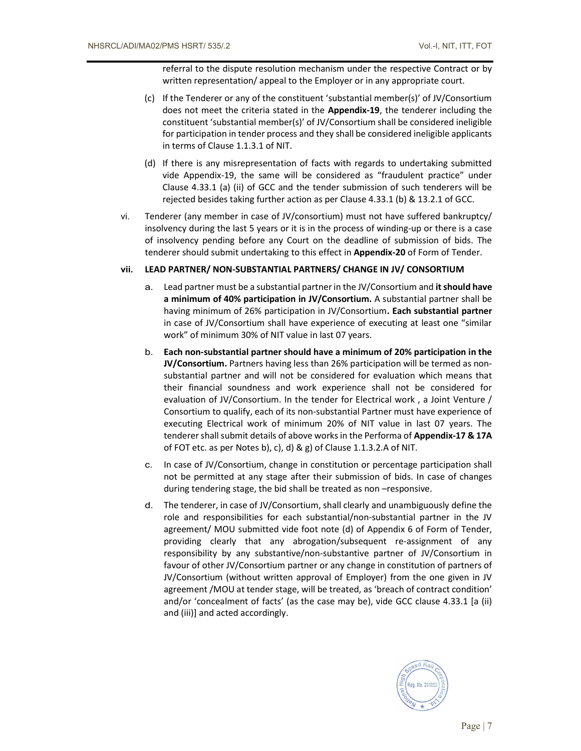referral to the dispute resolution mechanism under the respective Contract or by written representation/ appeal to the Employer or in any appropriate court.

- (c) If the Tenderer or any of the constituent 'substantial member(s)' of JV/Consortium does not meet the criteria stated in the Appendix-19, the tenderer including the constituent 'substantial member(s)' of JV/Consortium shall be considered ineligible for participation in tender process and they shall be considered ineligible applicants in terms of Clause 1.1.3.1 of NIT.
- (d) If there is any misrepresentation of facts with regards to undertaking submitted vide Appendix-19, the same will be considered as "fraudulent practice" under Clause 4.33.1 (a) (ii) of GCC and the tender submission of such tenderers will be rejected besides taking further action as per Clause 4.33.1 (b) & 13.2.1 of GCC.
- vi. Tenderer (any member in case of JV/consortium) must not have suffered bankruptcy/ insolvency during the last 5 years or it is in the process of winding-up or there is a case of insolvency pending before any Court on the deadline of submission of bids. The tenderer should submit undertaking to this effect in **Appendix-20** of Form of Tender.

# vii. LEAD PARTNER/ NON-SUBSTANTIAL PARTNERS/ CHANGE IN JV/ CONSORTIUM

- a. Lead partner must be a substantial partner in the JV/Consortium and it should have a minimum of 40% participation in JV/Consortium. A substantial partner shall be having minimum of 26% participation in JV/Consortium. Each substantial partner in case of JV/Consortium shall have experience of executing at least one "similar work" of minimum 30% of NIT value in last 07 years.
- b. Each non-substantial partner should have a minimum of 20% participation in the JV/Consortium. Partners having less than 26% participation will be termed as nonsubstantial partner and will not be considered for evaluation which means that their financial soundness and work experience shall not be considered for evaluation of JV/Consortium. In the tender for Electrical work , a Joint Venture / Consortium to qualify, each of its non-substantial Partner must have experience of executing Electrical work of minimum 20% of NIT value in last 07 years. The tenderer shall submit details of above works in the Performa of Appendix-17 & 17A of FOT etc. as per Notes b), c), d) & g) of Clause 1.1.3.2.A of NIT.
- c. In case of JV/Consortium, change in constitution or percentage participation shall not be permitted at any stage after their submission of bids. In case of changes during tendering stage, the bid shall be treated as non –responsive.
- d. The tenderer, in case of JV/Consortium, shall clearly and unambiguously define the role and responsibilities for each substantial/non-substantial partner in the JV agreement/ MOU submitted vide foot note (d) of Appendix 6 of Form of Tender, providing clearly that any abrogation/subsequent re-assignment of any responsibility by any substantive/non-substantive partner of JV/Consortium in favour of other JV/Consortium partner or any change in constitution of partners of JV/Consortium (without written approval of Employer) from the one given in JV agreement /MOU at tender stage, will be treated, as 'breach of contract condition' and/or 'concealment of facts' (as the case may be), vide GCC clause 4.33.1 [a (ii) and (iii)] and acted accordingly.

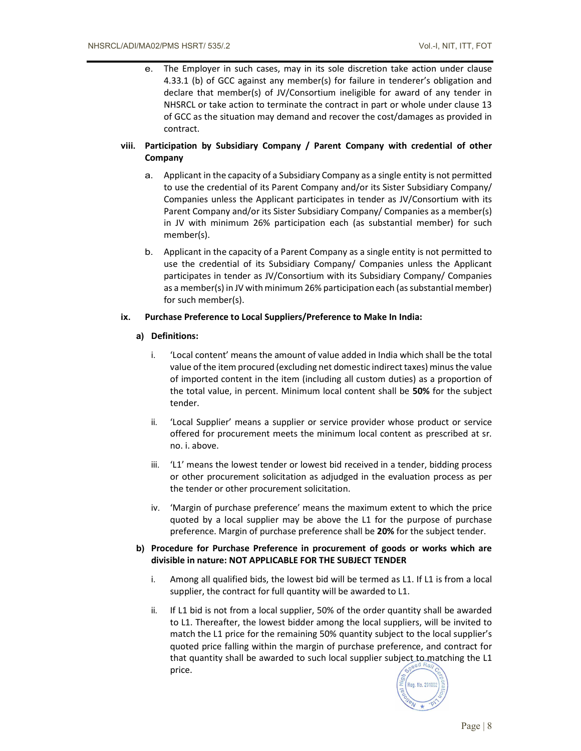e. The Employer in such cases, may in its sole discretion take action under clause 4.33.1 (b) of GCC against any member(s) for failure in tenderer's obligation and declare that member(s) of JV/Consortium ineligible for award of any tender in NHSRCL or take action to terminate the contract in part or whole under clause 13 of GCC as the situation may demand and recover the cost/damages as provided in contract.

# viii. Participation by Subsidiary Company / Parent Company with credential of other Company

- a. Applicant in the capacity of a Subsidiary Company as a single entity is not permitted to use the credential of its Parent Company and/or its Sister Subsidiary Company/ Companies unless the Applicant participates in tender as JV/Consortium with its Parent Company and/or its Sister Subsidiary Company/ Companies as a member(s) in JV with minimum 26% participation each (as substantial member) for such member(s).
- b. Applicant in the capacity of a Parent Company as a single entity is not permitted to use the credential of its Subsidiary Company/ Companies unless the Applicant participates in tender as JV/Consortium with its Subsidiary Company/ Companies as a member(s) in JV with minimum 26% participation each (as substantial member) for such member(s).

## ix. Purchase Preference to Local Suppliers/Preference to Make In India:

## a) Definitions:

- i. 'Local content' means the amount of value added in India which shall be the total value of the item procured (excluding net domestic indirect taxes) minus the value of imported content in the item (including all custom duties) as a proportion of the total value, in percent. Minimum local content shall be 50% for the subject tender.
- ii. 'Local Supplier' means a supplier or service provider whose product or service offered for procurement meets the minimum local content as prescribed at sr. no. i. above.
- iii. 'L1' means the lowest tender or lowest bid received in a tender, bidding process or other procurement solicitation as adjudged in the evaluation process as per the tender or other procurement solicitation.
- iv. 'Margin of purchase preference' means the maximum extent to which the price quoted by a local supplier may be above the L1 for the purpose of purchase preference. Margin of purchase preference shall be 20% for the subject tender.

# b) Procedure for Purchase Preference in procurement of goods or works which are divisible in nature: NOT APPLICABLE FOR THE SUBJECT TENDER

- i. Among all qualified bids, the lowest bid will be termed as L1. If L1 is from a local supplier, the contract for full quantity will be awarded to L1.
- ii. If L1 bid is not from a local supplier, 50% of the order quantity shall be awarded to L1. Thereafter, the lowest bidder among the local suppliers, will be invited to match the L1 price for the remaining 50% quantity subject to the local supplier's quoted price falling within the margin of purchase preference, and contract for that quantity shall be awarded to such local supplier subject to matching the L1 price.

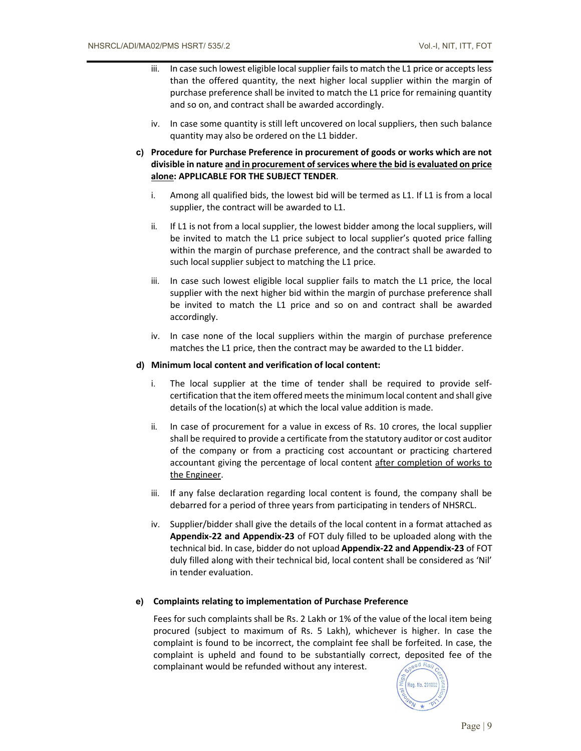- iii. In case such lowest eligible local supplier fails to match the L1 price or accepts less than the offered quantity, the next higher local supplier within the margin of purchase preference shall be invited to match the L1 price for remaining quantity and so on, and contract shall be awarded accordingly.
- iv. In case some quantity is still left uncovered on local suppliers, then such balance quantity may also be ordered on the L1 bidder.
- c) Procedure for Purchase Preference in procurement of goods or works which are not divisible in nature and in procurement of services where the bid is evaluated on price alone: APPLICABLE FOR THE SUBJECT TENDER.
	- i. Among all qualified bids, the lowest bid will be termed as L1. If L1 is from a local supplier, the contract will be awarded to L1.
	- ii. If L1 is not from a local supplier, the lowest bidder among the local suppliers, will be invited to match the L1 price subject to local supplier's quoted price falling within the margin of purchase preference, and the contract shall be awarded to such local supplier subject to matching the L1 price.
	- iii. In case such lowest eligible local supplier fails to match the L1 price, the local supplier with the next higher bid within the margin of purchase preference shall be invited to match the L1 price and so on and contract shall be awarded accordingly.
	- iv. In case none of the local suppliers within the margin of purchase preference matches the L1 price, then the contract may be awarded to the L1 bidder.

#### d) Minimum local content and verification of local content:

- i. The local supplier at the time of tender shall be required to provide selfcertification that the item offered meets the minimum local content and shall give details of the location(s) at which the local value addition is made.
- ii. In case of procurement for a value in excess of Rs. 10 crores, the local supplier shall be required to provide a certificate from the statutory auditor or cost auditor of the company or from a practicing cost accountant or practicing chartered accountant giving the percentage of local content after completion of works to the Engineer.
- iii. If any false declaration regarding local content is found, the company shall be debarred for a period of three years from participating in tenders of NHSRCL.
- iv. Supplier/bidder shall give the details of the local content in a format attached as Appendix-22 and Appendix-23 of FOT duly filled to be uploaded along with the technical bid. In case, bidder do not upload Appendix-22 and Appendix-23 of FOT duly filled along with their technical bid, local content shall be considered as 'Nil' in tender evaluation.

#### e) Complaints relating to implementation of Purchase Preference

Fees for such complaints shall be Rs. 2 Lakh or 1% of the value of the local item being procured (subject to maximum of Rs. 5 Lakh), whichever is higher. In case the complaint is found to be incorrect, the complaint fee shall be forfeited. In case, the complaint is upheld and found to be substantially correct, deposited fee of the complainant would be refunded without any interest.

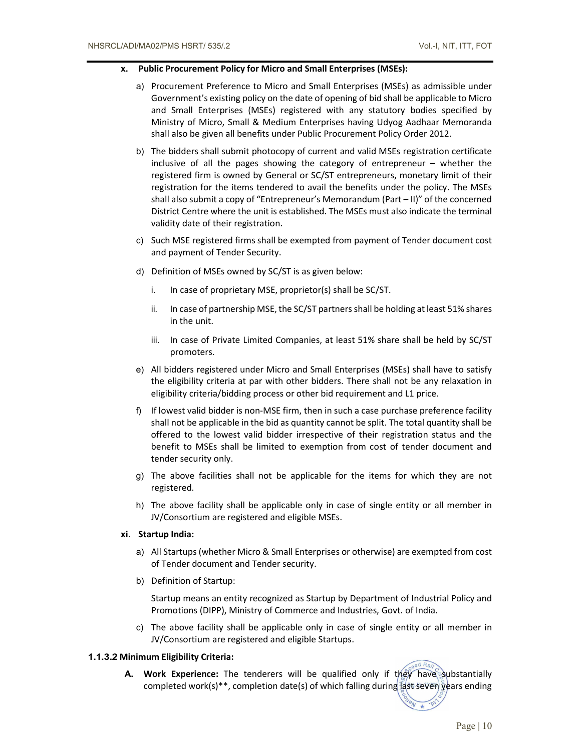## x. Public Procurement Policy for Micro and Small Enterprises (MSEs):

- a) Procurement Preference to Micro and Small Enterprises (MSEs) as admissible under Government's existing policy on the date of opening of bid shall be applicable to Micro and Small Enterprises (MSEs) registered with any statutory bodies specified by Ministry of Micro, Small & Medium Enterprises having Udyog Aadhaar Memoranda shall also be given all benefits under Public Procurement Policy Order 2012.
- b) The bidders shall submit photocopy of current and valid MSEs registration certificate inclusive of all the pages showing the category of entrepreneur – whether the registered firm is owned by General or SC/ST entrepreneurs, monetary limit of their registration for the items tendered to avail the benefits under the policy. The MSEs shall also submit a copy of "Entrepreneur's Memorandum (Part  $-$  II)" of the concerned District Centre where the unit is established. The MSEs must also indicate the terminal validity date of their registration.
- c) Such MSE registered firms shall be exempted from payment of Tender document cost and payment of Tender Security.
- d) Definition of MSEs owned by SC/ST is as given below:
	- i. In case of proprietary MSE, proprietor(s) shall be SC/ST.
	- ii. In case of partnership MSE, the SC/ST partners shall be holding at least 51% shares in the unit.
	- iii. In case of Private Limited Companies, at least 51% share shall be held by SC/ST promoters.
- e) All bidders registered under Micro and Small Enterprises (MSEs) shall have to satisfy the eligibility criteria at par with other bidders. There shall not be any relaxation in eligibility criteria/bidding process or other bid requirement and L1 price.
- f) If lowest valid bidder is non-MSE firm, then in such a case purchase preference facility shall not be applicable in the bid as quantity cannot be split. The total quantity shall be offered to the lowest valid bidder irrespective of their registration status and the benefit to MSEs shall be limited to exemption from cost of tender document and tender security only.
- g) The above facilities shall not be applicable for the items for which they are not registered.
- h) The above facility shall be applicable only in case of single entity or all member in JV/Consortium are registered and eligible MSEs.

## xi. Startup India:

- a) All Startups (whether Micro & Small Enterprises or otherwise) are exempted from cost of Tender document and Tender security.
- b) Definition of Startup:

Startup means an entity recognized as Startup by Department of Industrial Policy and Promotions (DIPP), Ministry of Commerce and Industries, Govt. of India.

c) The above facility shall be applicable only in case of single entity or all member in JV/Consortium are registered and eligible Startups.

## 1.1.3.2 Minimum Eligibility Criteria:

A. Work Experience: The tenderers will be qualified only if they have substantially completed work(s)\*\*, completion date(s) of which falling during  $\frac{1}{2}$ st seven years ending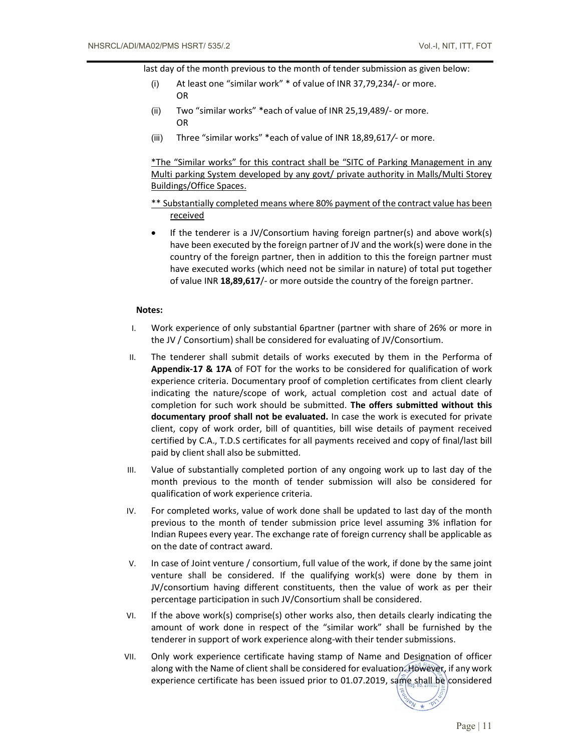last day of the month previous to the month of tender submission as given below:

- (i) At least one "similar work" \* of value of INR 37,79,234/- or more. OR
- (ii) Two "similar works" \*each of value of INR 25,19,489/- or more. OR
- (iii) Three "similar works" \*each of value of INR 18,89,617/- or more.

\*The "Similar works" for this contract shall be "SITC of Parking Management in any Multi parking System developed by any govt/ private authority in Malls/Multi Storey Buildings/Office Spaces.

- \*\* Substantially completed means where 80% payment of the contract value has been received
- If the tenderer is a JV/Consortium having foreign partner(s) and above work(s) have been executed by the foreign partner of JV and the work(s) were done in the country of the foreign partner, then in addition to this the foreign partner must have executed works (which need not be similar in nature) of total put together of value INR 18,89,617/- or more outside the country of the foreign partner.

## Notes:

- I. Work experience of only substantial 6partner (partner with share of 26% or more in the JV / Consortium) shall be considered for evaluating of JV/Consortium.
- II. The tenderer shall submit details of works executed by them in the Performa of Appendix-17 & 17A of FOT for the works to be considered for qualification of work experience criteria. Documentary proof of completion certificates from client clearly indicating the nature/scope of work, actual completion cost and actual date of completion for such work should be submitted. The offers submitted without this documentary proof shall not be evaluated. In case the work is executed for private client, copy of work order, bill of quantities, bill wise details of payment received certified by C.A., T.D.S certificates for all payments received and copy of final/last bill paid by client shall also be submitted.
- III. Value of substantially completed portion of any ongoing work up to last day of the month previous to the month of tender submission will also be considered for qualification of work experience criteria.
- IV. For completed works, value of work done shall be updated to last day of the month previous to the month of tender submission price level assuming 3% inflation for Indian Rupees every year. The exchange rate of foreign currency shall be applicable as on the date of contract award.
- V. In case of Joint venture / consortium, full value of the work, if done by the same joint venture shall be considered. If the qualifying work(s) were done by them in JV/consortium having different constituents, then the value of work as per their percentage participation in such JV/Consortium shall be considered.
- VI. If the above work(s) comprise(s) other works also, then details clearly indicating the amount of work done in respect of the "similar work" shall be furnished by the tenderer in support of work experience along-with their tender submissions.
- VII. Only work experience certificate having stamp of Name and Designation of officer along with the Name of client shall be considered for evaluation. However, if any work experience certificate has been issued prior to 01.07.2019, same shall be considered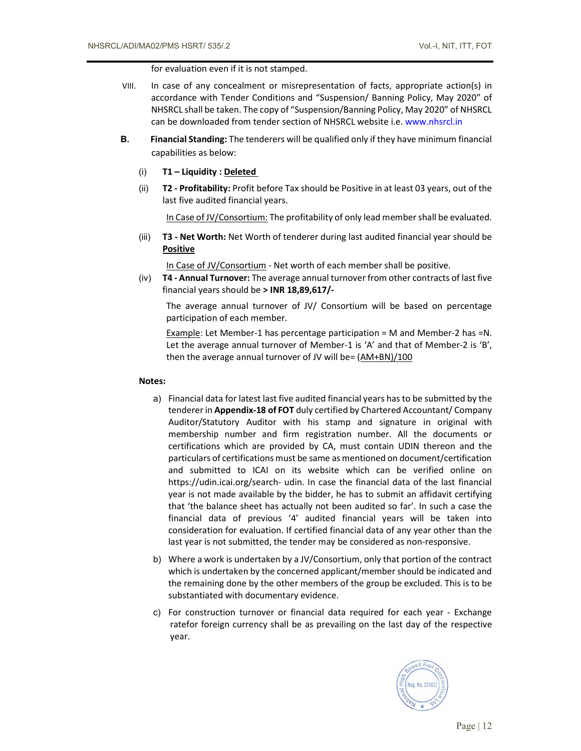for evaluation even if it is not stamped.

- VIII. In case of any concealment or misrepresentation of facts, appropriate action(s) in accordance with Tender Conditions and "Suspension/ Banning Policy, May 2020" of NHSRCL shall be taken. The copy of "Suspension/Banning Policy, May 2020" of NHSRCL can be downloaded from tender section of NHSRCL website i.e. www.nhsrcl.in
- B. Financial Standing: The tenderers will be qualified only if they have minimum financial capabilities as below:
	- (i) T1 Liquidity : Deleted
	- (ii) T2 Profitability: Profit before Tax should be Positive in at least 03 years, out of the last five audited financial years.

In Case of JV/Consortium: The profitability of only lead member shall be evaluated.

(iii) **T3 - Net Worth:** Net Worth of tenderer during last audited financial year should be **Positive** 

In Case of JV/Consortium - Net worth of each member shall be positive.

 $(iv)$  T4 - Annual Turnover: The average annual turnover from other contracts of last five financial years should be > INR 18,89,617/-

The average annual turnover of JV/ Consortium will be based on percentage participation of each member.

Example: Let Member-1 has percentage participation = M and Member-2 has =N. Let the average annual turnover of Member-1 is 'A' and that of Member-2 is 'B', then the average annual turnover of JV will be= (AM+BN)/100

#### Notes:

- a) Financial data for latest last five audited financial years has to be submitted by the tenderer in Appendix-18 of FOT duly certified by Chartered Accountant/ Company Auditor/Statutory Auditor with his stamp and signature in original with membership number and firm registration number. All the documents or certifications which are provided by CA, must contain UDIN thereon and the particulars of certifications must be same as mentioned on document/certification and submitted to ICAI on its website which can be verified online on https://udin.icai.org/search- udin. In case the financial data of the last financial year is not made available by the bidder, he has to submit an affidavit certifying that 'the balance sheet has actually not been audited so far'. In such a case the financial data of previous '4' audited financial years will be taken into consideration for evaluation. If certified financial data of any year other than the last year is not submitted, the tender may be considered as non-responsive.
- b) Where a work is undertaken by a JV/Consortium, only that portion of the contract which is undertaken by the concerned applicant/member should be indicated and the remaining done by the other members of the group be excluded. This is to be substantiated with documentary evidence.
- c) For construction turnover or financial data required for each year Exchange ratefor foreign currency shall be as prevailing on the last day of the respective year.

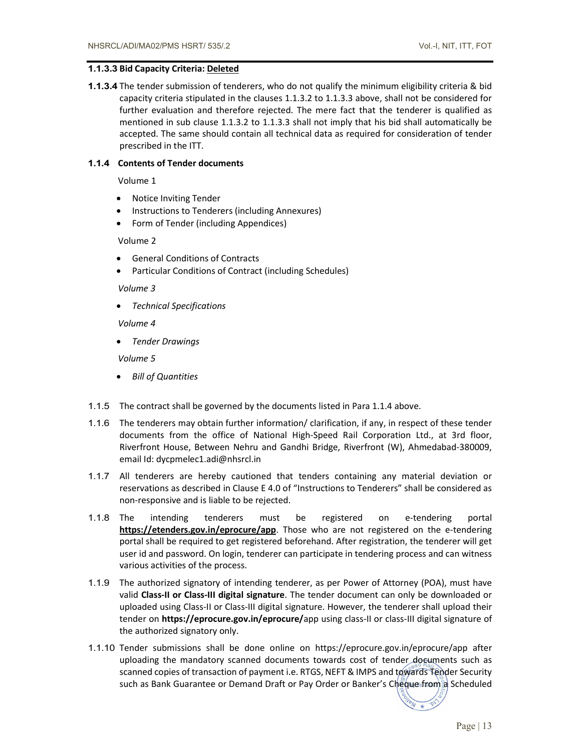## 1.1.3.3 Bid Capacity Criteria: Deleted

1.1.3.4 The tender submission of tenderers, who do not qualify the minimum eligibility criteria & bid capacity criteria stipulated in the clauses 1.1.3.2 to 1.1.3.3 above, shall not be considered for further evaluation and therefore rejected. The mere fact that the tenderer is qualified as mentioned in sub clause 1.1.3.2 to 1.1.3.3 shall not imply that his bid shall automatically be accepted. The same should contain all technical data as required for consideration of tender prescribed in the ITT.

# 1.1.4 Contents of Tender documents

Volume 1

- Notice Inviting Tender
- Instructions to Tenderers (including Annexures)
- Form of Tender (including Appendices)

Volume 2

- General Conditions of Contracts
- Particular Conditions of Contract (including Schedules)

Volume 3

Technical Specifications

Volume 4

Tender Drawings

Volume 5

- Bill of Quantities
- 1.1.5 The contract shall be governed by the documents listed in Para 1.1.4 above.
- 1.1.6 The tenderers may obtain further information/ clarification, if any, in respect of these tender documents from the office of National High-Speed Rail Corporation Ltd., at 3rd floor, Riverfront House, Between Nehru and Gandhi Bridge, Riverfront (W), Ahmedabad-380009, email Id: dycpmelec1.adi@nhsrcl.in
- 1.1.7 All tenderers are hereby cautioned that tenders containing any material deviation or reservations as described in Clause E 4.0 of "Instructions to Tenderers" shall be considered as non-responsive and is liable to be rejected.
- 1.1.8 The intending tenderers must be registered on e-tendering portal https://etenders.gov.in/eprocure/app. Those who are not registered on the e-tendering portal shall be required to get registered beforehand. After registration, the tenderer will get user id and password. On login, tenderer can participate in tendering process and can witness various activities of the process.
- 1.1.9 The authorized signatory of intending tenderer, as per Power of Attorney (POA), must have valid Class-II or Class-III digital signature. The tender document can only be downloaded or uploaded using Class-II or Class-III digital signature. However, the tenderer shall upload their tender on https://eprocure.gov.in/eprocure/app using class-II or class-III digital signature of the authorized signatory only.
- 1.1.10 Tender submissions shall be done online on https://eprocure.gov.in/eprocure/app after uploading the mandatory scanned documents towards cost of tender documents such as scanned copies of transaction of payment i.e. RTGS, NEFT & IMPS and towards Tender Security such as Bank Guarantee or Demand Draft or Pay Order or Banker's Cheque from a Scheduled

Page  $| 13$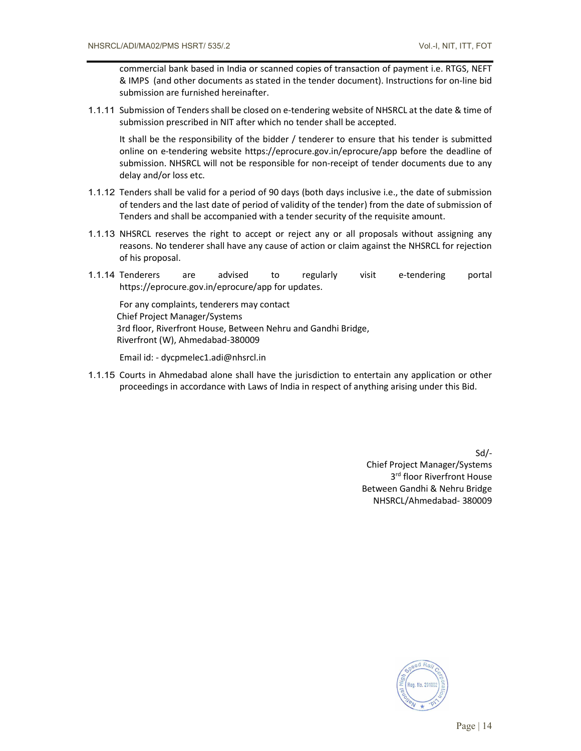commercial bank based in India or scanned copies of transaction of payment i.e. RTGS, NEFT & IMPS (and other documents as stated in the tender document). Instructions for on-line bid submission are furnished hereinafter.

1.1.11 Submission of Tenders shall be closed on e-tendering website of NHSRCL at the date & time of submission prescribed in NIT after which no tender shall be accepted.

It shall be the responsibility of the bidder / tenderer to ensure that his tender is submitted online on e-tendering website https://eprocure.gov.in/eprocure/app before the deadline of submission. NHSRCL will not be responsible for non-receipt of tender documents due to any delay and/or loss etc.

- 1.1.12 Tenders shall be valid for a period of 90 days (both days inclusive i.e., the date of submission of tenders and the last date of period of validity of the tender) from the date of submission of Tenders and shall be accompanied with a tender security of the requisite amount.
- 1.1.13 NHSRCL reserves the right to accept or reject any or all proposals without assigning any reasons. No tenderer shall have any cause of action or claim against the NHSRCL for rejection of his proposal.
- 1.1.14 Tenderers are advised to regularly visit e-tendering portal https://eprocure.gov.in/eprocure/app for updates.

For any complaints, tenderers may contact Chief Project Manager/Systems 3rd floor, Riverfront House, Between Nehru and Gandhi Bridge, Riverfront (W), Ahmedabad-380009

Email id: - dycpmelec1.adi@nhsrcl.in

1.1.15 Courts in Ahmedabad alone shall have the jurisdiction to entertain any application or other proceedings in accordance with Laws of India in respect of anything arising under this Bid.

> Sd/- Chief Project Manager/Systems 3 rd floor Riverfront House Between Gandhi & Nehru Bridge NHSRCL/Ahmedabad- 380009

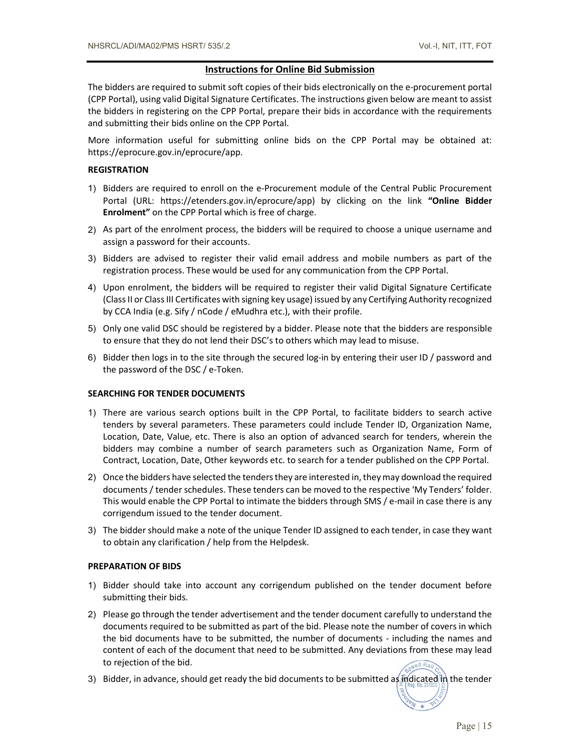#### Instructions for Online Bid Submission

The bidders are required to submit soft copies of their bids electronically on the e-procurement portal (CPP Portal), using valid Digital Signature Certificates. The instructions given below are meant to assist the bidders in registering on the CPP Portal, prepare their bids in accordance with the requirements and submitting their bids online on the CPP Portal.

More information useful for submitting online bids on the CPP Portal may be obtained at: https://eprocure.gov.in/eprocure/app.

#### **REGISTRATION**

- 1) Bidders are required to enroll on the e-Procurement module of the Central Public Procurement Portal (URL: https://etenders.gov.in/eprocure/app) by clicking on the link "Online Bidder Enrolment" on the CPP Portal which is free of charge.
- 2) As part of the enrolment process, the bidders will be required to choose a unique username and assign a password for their accounts.
- 3) Bidders are advised to register their valid email address and mobile numbers as part of the registration process. These would be used for any communication from the CPP Portal.
- 4) Upon enrolment, the bidders will be required to register their valid Digital Signature Certificate (Class II or Class III Certificates with signing key usage) issued by any Certifying Authority recognized by CCA India (e.g. Sify / nCode / eMudhra etc.), with their profile.
- 5) Only one valid DSC should be registered by a bidder. Please note that the bidders are responsible to ensure that they do not lend their DSC's to others which may lead to misuse.
- 6) Bidder then logs in to the site through the secured log-in by entering their user ID / password and the password of the DSC / e-Token.

#### SEARCHING FOR TENDER DOCUMENTS

- 1) There are various search options built in the CPP Portal, to facilitate bidders to search active tenders by several parameters. These parameters could include Tender ID, Organization Name, Location, Date, Value, etc. There is also an option of advanced search for tenders, wherein the bidders may combine a number of search parameters such as Organization Name, Form of Contract, Location, Date, Other keywords etc. to search for a tender published on the CPP Portal.
- 2) Once the bidders have selected the tenders they are interested in, they may download the required documents / tender schedules. These tenders can be moved to the respective 'My Tenders' folder. This would enable the CPP Portal to intimate the bidders through SMS / e-mail in case there is any corrigendum issued to the tender document.
- 3) The bidder should make a note of the unique Tender ID assigned to each tender, in case they want to obtain any clarification / help from the Helpdesk.

#### PREPARATION OF BIDS

- 1) Bidder should take into account any corrigendum published on the tender document before submitting their bids.
- 2) Please go through the tender advertisement and the tender document carefully to understand the documents required to be submitted as part of the bid. Please note the number of covers in which the bid documents have to be submitted, the number of documents - including the names and content of each of the document that need to be submitted. Any deviations from these may lead to rejection of the bid.
- 3) Bidder, in advance, should get ready the bid documents to be submitted as indicated in the tender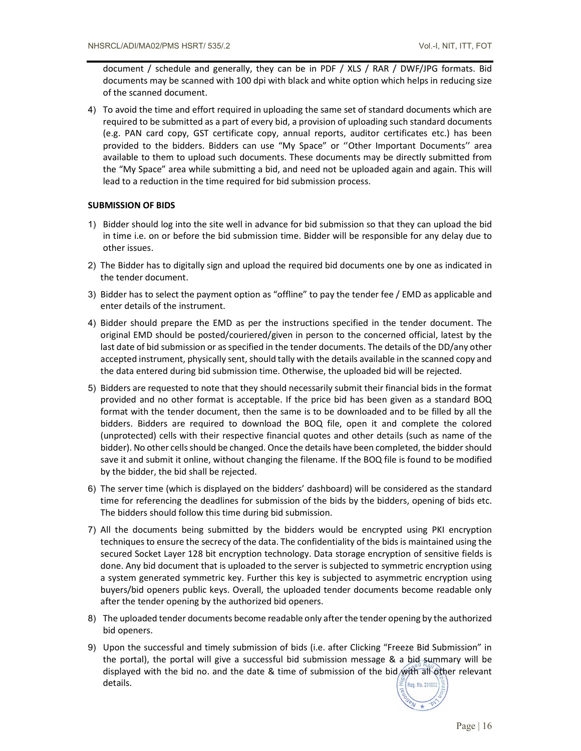document / schedule and generally, they can be in PDF / XLS / RAR / DWF/JPG formats. Bid documents may be scanned with 100 dpi with black and white option which helps in reducing size of the scanned document.

4) To avoid the time and effort required in uploading the same set of standard documents which are required to be submitted as a part of every bid, a provision of uploading such standard documents (e.g. PAN card copy, GST certificate copy, annual reports, auditor certificates etc.) has been provided to the bidders. Bidders can use "My Space" or ''Other Important Documents'' area available to them to upload such documents. These documents may be directly submitted from the "My Space" area while submitting a bid, and need not be uploaded again and again. This will lead to a reduction in the time required for bid submission process.

## SUBMISSION OF BIDS

- 1) Bidder should log into the site well in advance for bid submission so that they can upload the bid in time i.e. on or before the bid submission time. Bidder will be responsible for any delay due to other issues.
- 2) The Bidder has to digitally sign and upload the required bid documents one by one as indicated in the tender document.
- 3) Bidder has to select the payment option as "offline" to pay the tender fee / EMD as applicable and enter details of the instrument.
- 4) Bidder should prepare the EMD as per the instructions specified in the tender document. The original EMD should be posted/couriered/given in person to the concerned official, latest by the last date of bid submission or as specified in the tender documents. The details of the DD/any other accepted instrument, physically sent, should tally with the details available in the scanned copy and the data entered during bid submission time. Otherwise, the uploaded bid will be rejected.
- 5) Bidders are requested to note that they should necessarily submit their financial bids in the format provided and no other format is acceptable. If the price bid has been given as a standard BOQ format with the tender document, then the same is to be downloaded and to be filled by all the bidders. Bidders are required to download the BOQ file, open it and complete the colored (unprotected) cells with their respective financial quotes and other details (such as name of the bidder). No other cells should be changed. Once the details have been completed, the bidder should save it and submit it online, without changing the filename. If the BOQ file is found to be modified by the bidder, the bid shall be rejected.
- 6) The server time (which is displayed on the bidders' dashboard) will be considered as the standard time for referencing the deadlines for submission of the bids by the bidders, opening of bids etc. The bidders should follow this time during bid submission.
- 7) All the documents being submitted by the bidders would be encrypted using PKI encryption techniques to ensure the secrecy of the data. The confidentiality of the bids is maintained using the secured Socket Layer 128 bit encryption technology. Data storage encryption of sensitive fields is done. Any bid document that is uploaded to the server is subjected to symmetric encryption using a system generated symmetric key. Further this key is subjected to asymmetric encryption using buyers/bid openers public keys. Overall, the uploaded tender documents become readable only after the tender opening by the authorized bid openers.
- 8) The uploaded tender documents become readable only after the tender opening by the authorized bid openers.
- 9) Upon the successful and timely submission of bids (i.e. after Clicking "Freeze Bid Submission" in the portal), the portal will give a successful bid submission message & a bid-summary will be displayed with the bid no. and the date & time of submission of the bid with all other relevant details.

Reg. No. 291002